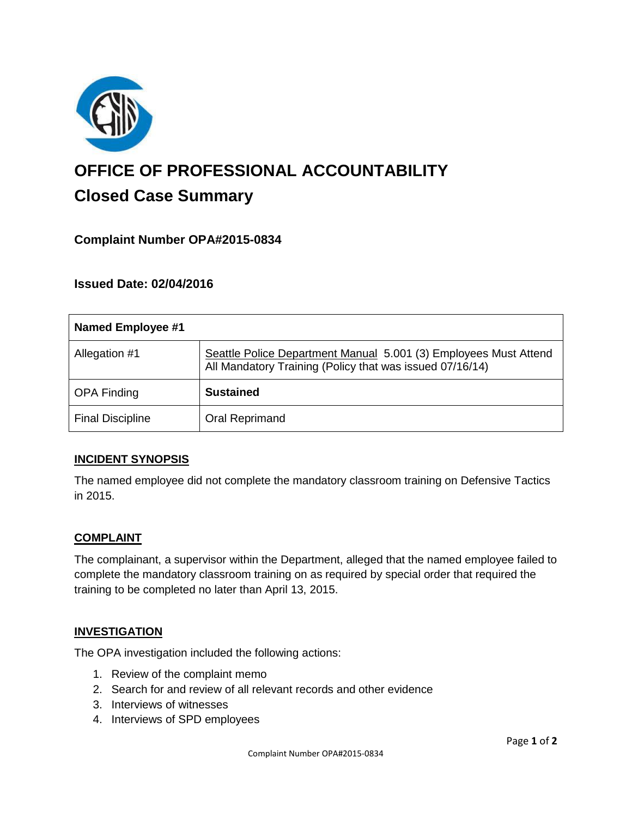

# **OFFICE OF PROFESSIONAL ACCOUNTABILITY Closed Case Summary**

## **Complaint Number OPA#2015-0834**

### **Issued Date: 02/04/2016**

| <b>Named Employee #1</b> |                                                                                                                              |
|--------------------------|------------------------------------------------------------------------------------------------------------------------------|
| Allegation #1            | Seattle Police Department Manual 5.001 (3) Employees Must Attend<br>All Mandatory Training (Policy that was issued 07/16/14) |
| <b>OPA Finding</b>       | <b>Sustained</b>                                                                                                             |
| <b>Final Discipline</b>  | <b>Oral Reprimand</b>                                                                                                        |

#### **INCIDENT SYNOPSIS**

The named employee did not complete the mandatory classroom training on Defensive Tactics in 2015.

#### **COMPLAINT**

The complainant, a supervisor within the Department, alleged that the named employee failed to complete the mandatory classroom training on as required by special order that required the training to be completed no later than April 13, 2015.

#### **INVESTIGATION**

The OPA investigation included the following actions:

- 1. Review of the complaint memo
- 2. Search for and review of all relevant records and other evidence
- 3. Interviews of witnesses
- 4. Interviews of SPD employees